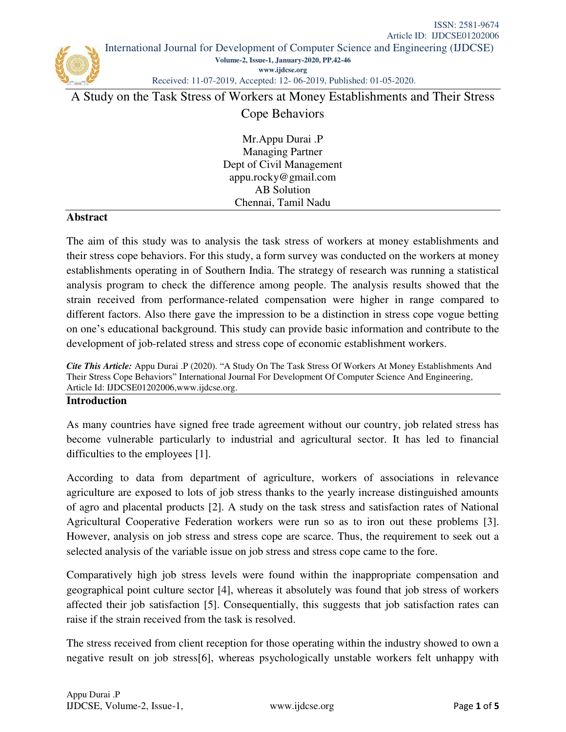Received: 11-07-2019, Accepted: 12- 06-2019, Published: 01-05-2020.

A Study on the Task Stress of Workers at Money Establishments and Their Stress

# Cope Behaviors

Mr.Appu Durai .P Managing Partner Dept of Civil Management [appu.rocky@gmail.com](mailto:appu.rocky@gmail.com)  AB Solution Chennai, Tamil Nadu

#### **Abstract**

The aim of this study was to analysis the task stress of workers at money establishments and their stress cope behaviors. For this study, a form survey was conducted on the workers at money establishments operating in of Southern India. The strategy of research was running a statistical analysis program to check the difference among people. The analysis results showed that the strain received from performance-related compensation were higher in range compared to different factors. Also there gave the impression to be a distinction in stress cope vogue betting on one's educational background. This study can provide basic information and contribute to the development of job-related stress and stress cope of economic establishment workers.

*Cite This Article:* Appu Durai .P (2020). "A Study On The Task Stress Of Workers At Money Establishments And Their Stress Cope Behaviors" International Journal For Development Of Computer Science And Engineering, Article Id: IJDCSE01202006[,www.ijdcse.org.](http://www.ijdcse.org/)

#### **Introduction**

As many countries have signed free trade agreement without our country, job related stress has become vulnerable particularly to industrial and agricultural sector. It has led to financial difficulties to the employees [1].

According to data from department of agriculture, workers of associations in relevance agriculture are exposed to lots of job stress thanks to the yearly increase distinguished amounts of agro and placental products [2]. A study on the task stress and satisfaction rates of National Agricultural Cooperative Federation workers were run so as to iron out these problems [3]. However, analysis on job stress and stress cope are scarce. Thus, the requirement to seek out a selected analysis of the variable issue on job stress and stress cope came to the fore.

Comparatively high job stress levels were found within the inappropriate compensation and geographical point culture sector [4], whereas it absolutely was found that job stress of workers affected their job satisfaction [5]. Consequentially, this suggests that job satisfaction rates can raise if the strain received from the task is resolved.

The stress received from client reception for those operating within the industry showed to own a negative result on job stress[6], whereas psychologically unstable workers felt unhappy with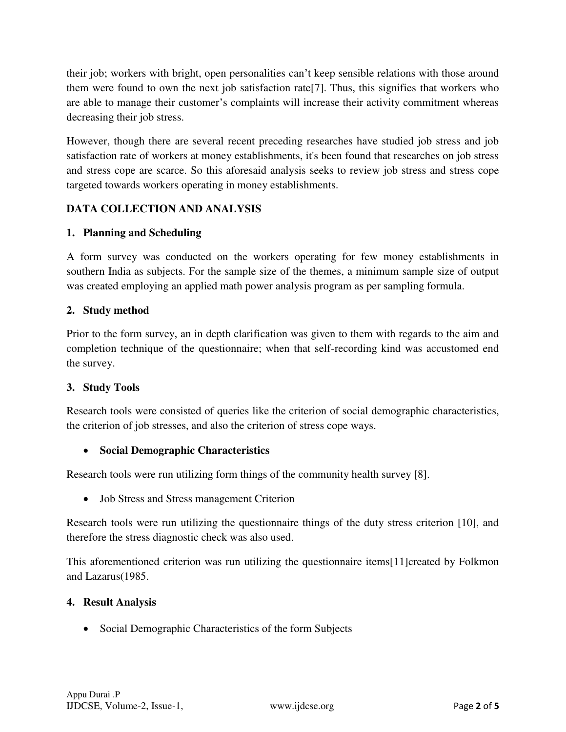their job; workers with bright, open personalities can't keep sensible relations with those around them were found to own the next job satisfaction rate[7]. Thus, this signifies that workers who are able to manage their customer's complaints will increase their activity commitment whereas decreasing their job stress.

However, though there are several recent preceding researches have studied job stress and job satisfaction rate of workers at money establishments, it's been found that researches on job stress and stress cope are scarce. So this aforesaid analysis seeks to review job stress and stress cope targeted towards workers operating in money establishments.

# **DATA COLLECTION AND ANALYSIS**

# **1. Planning and Scheduling**

A form survey was conducted on the workers operating for few money establishments in southern India as subjects. For the sample size of the themes, a minimum sample size of output was created employing an applied math power analysis program as per sampling formula.

# **2. Study method**

Prior to the form survey, an in depth clarification was given to them with regards to the aim and completion technique of the questionnaire; when that self-recording kind was accustomed end the survey.

### **3. Study Tools**

Research tools were consisted of queries like the criterion of social demographic characteristics, the criterion of job stresses, and also the criterion of stress cope ways.

### **Social Demographic Characteristics**

Research tools were run utilizing form things of the community health survey [8].

Job Stress and Stress management Criterion

Research tools were run utilizing the questionnaire things of the duty stress criterion [10], and therefore the stress diagnostic check was also used.

This aforementioned criterion was run utilizing the questionnaire items[11]created by Folkmon and Lazarus(1985.

### **4. Result Analysis**

• Social Demographic Characteristics of the form Subjects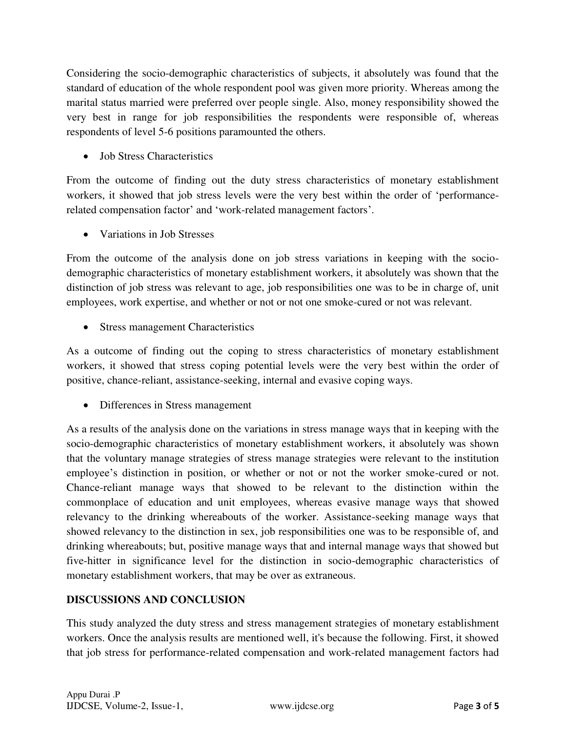Considering the socio-demographic characteristics of subjects, it absolutely was found that the standard of education of the whole respondent pool was given more priority. Whereas among the marital status married were preferred over people single. Also, money responsibility showed the very best in range for job responsibilities the respondents were responsible of, whereas respondents of level 5-6 positions paramounted the others.

Job Stress Characteristics

From the outcome of finding out the duty stress characteristics of monetary establishment workers, it showed that job stress levels were the very best within the order of 'performancerelated compensation factor' and 'work-related management factors'.

Variations in Job Stresses

From the outcome of the analysis done on job stress variations in keeping with the sociodemographic characteristics of monetary establishment workers, it absolutely was shown that the distinction of job stress was relevant to age, job responsibilities one was to be in charge of, unit employees, work expertise, and whether or not or not one smoke-cured or not was relevant.

• Stress management Characteristics

As a outcome of finding out the coping to stress characteristics of monetary establishment workers, it showed that stress coping potential levels were the very best within the order of positive, chance-reliant, assistance-seeking, internal and evasive coping ways.

• Differences in Stress management

As a results of the analysis done on the variations in stress manage ways that in keeping with the socio-demographic characteristics of monetary establishment workers, it absolutely was shown that the voluntary manage strategies of stress manage strategies were relevant to the institution employee's distinction in position, or whether or not or not the worker smoke-cured or not. Chance-reliant manage ways that showed to be relevant to the distinction within the commonplace of education and unit employees, whereas evasive manage ways that showed relevancy to the drinking whereabouts of the worker. Assistance-seeking manage ways that showed relevancy to the distinction in sex, job responsibilities one was to be responsible of, and drinking whereabouts; but, positive manage ways that and internal manage ways that showed but five-hitter in significance level for the distinction in socio-demographic characteristics of monetary establishment workers, that may be over as extraneous.

### **DISCUSSIONS AND CONCLUSION**

This study analyzed the duty stress and stress management strategies of monetary establishment workers. Once the analysis results are mentioned well, it's because the following. First, it showed that job stress for performance-related compensation and work-related management factors had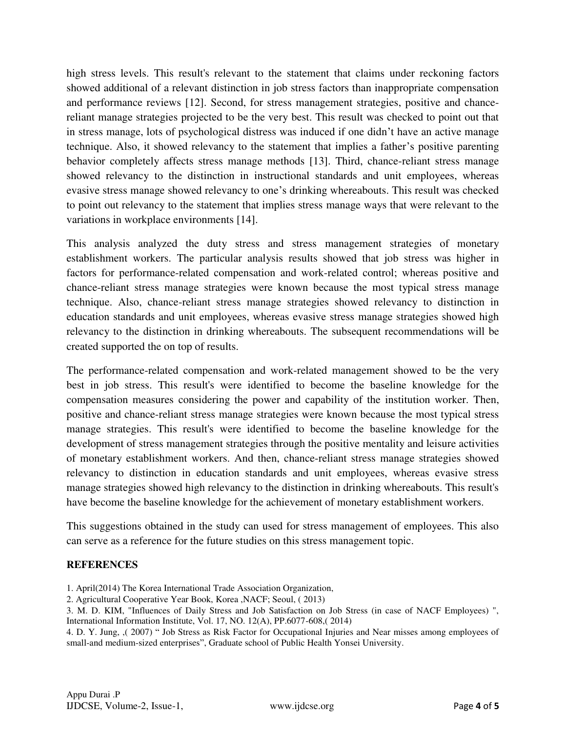high stress levels. This result's relevant to the statement that claims under reckoning factors showed additional of a relevant distinction in job stress factors than inappropriate compensation and performance reviews [12]. Second, for stress management strategies, positive and chancereliant manage strategies projected to be the very best. This result was checked to point out that in stress manage, lots of psychological distress was induced if one didn't have an active manage technique. Also, it showed relevancy to the statement that implies a father's positive parenting behavior completely affects stress manage methods [13]. Third, chance-reliant stress manage showed relevancy to the distinction in instructional standards and unit employees, whereas evasive stress manage showed relevancy to one's drinking whereabouts. This result was checked to point out relevancy to the statement that implies stress manage ways that were relevant to the variations in workplace environments [14].

This analysis analyzed the duty stress and stress management strategies of monetary establishment workers. The particular analysis results showed that job stress was higher in factors for performance-related compensation and work-related control; whereas positive and chance-reliant stress manage strategies were known because the most typical stress manage technique. Also, chance-reliant stress manage strategies showed relevancy to distinction in education standards and unit employees, whereas evasive stress manage strategies showed high relevancy to the distinction in drinking whereabouts. The subsequent recommendations will be created supported the on top of results.

The performance-related compensation and work-related management showed to be the very best in job stress. This result's were identified to become the baseline knowledge for the compensation measures considering the power and capability of the institution worker. Then, positive and chance-reliant stress manage strategies were known because the most typical stress manage strategies. This result's were identified to become the baseline knowledge for the development of stress management strategies through the positive mentality and leisure activities of monetary establishment workers. And then, chance-reliant stress manage strategies showed relevancy to distinction in education standards and unit employees, whereas evasive stress manage strategies showed high relevancy to the distinction in drinking whereabouts. This result's have become the baseline knowledge for the achievement of monetary establishment workers.

This suggestions obtained in the study can used for stress management of employees. This also can serve as a reference for the future studies on this stress management topic.

#### **REFERENCES**

- 1. April(2014) The Korea International Trade Association Organization,
- 2. Agricultural Cooperative Year Book, Korea ,NACF; Seoul, ( 2013)

3. M. D. KIM, "Influences of Daily Stress and Job Satisfaction on Job Stress (in case of NACF Employees) ", International Information Institute, Vol. 17, NO. 12(A), PP.6077-608,( 2014)

4. D. Y. Jung, ,( 2007) " Job Stress as Risk Factor for Occupational Injuries and Near misses among employees of small-and medium-sized enterprises", Graduate school of Public Health Yonsei University.